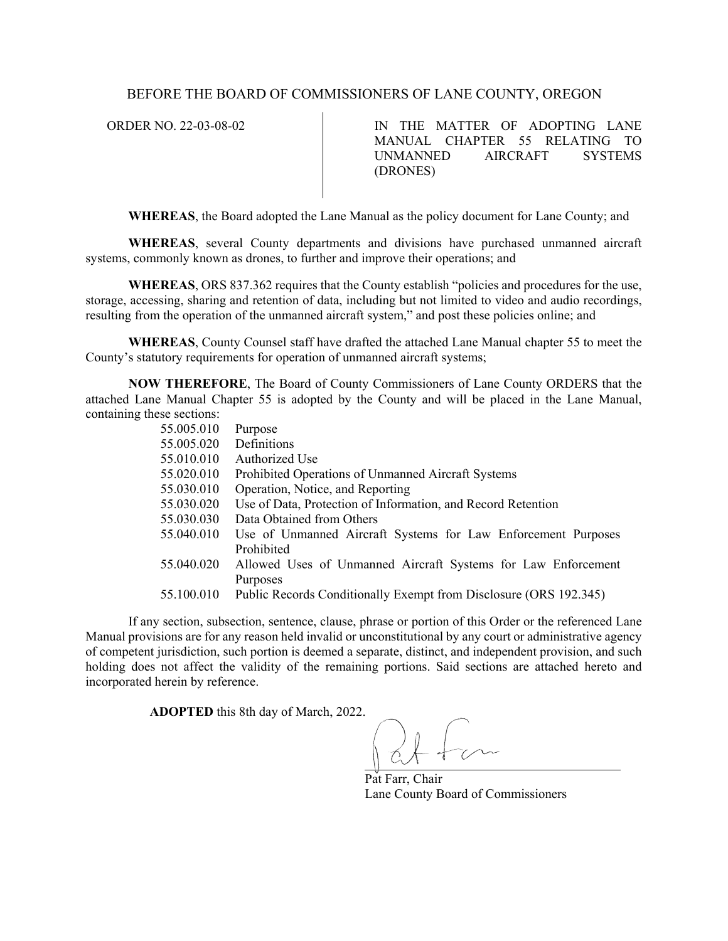## BEFORE THE BOARD OF COMMISSIONERS OF LANE COUNTY, OREGON

ORDER NO. 22-03-08-02 IN THE MATTER OF ADOPTING LANE MANUAL CHAPTER 55 RELATING TO UNMANNED AIRCRAFT SYSTEMS (DRONES)

**WHEREAS**, the Board adopted the Lane Manual as the policy document for Lane County; and

**WHEREAS**, several County departments and divisions have purchased unmanned aircraft systems, commonly known as drones, to further and improve their operations; and

**WHEREAS**, ORS 837.362 requires that the County establish "policies and procedures for the use, storage, accessing, sharing and retention of data, including but not limited to video and audio recordings, resulting from the operation of the unmanned aircraft system," and post these policies online; and

**WHEREAS**, County Counsel staff have drafted the attached Lane Manual chapter 55 to meet the County's statutory requirements for operation of unmanned aircraft systems;

**NOW THEREFORE**, The Board of County Commissioners of Lane County ORDERS that the attached Lane Manual Chapter 55 is adopted by the County and will be placed in the Lane Manual, containing these sections:

| 55.005.010 | Purpose                                                           |
|------------|-------------------------------------------------------------------|
| 55.005.020 | Definitions                                                       |
| 55.010.010 | Authorized Use                                                    |
| 55.020.010 | Prohibited Operations of Unmanned Aircraft Systems                |
| 55.030.010 | Operation, Notice, and Reporting                                  |
| 55.030.020 | Use of Data, Protection of Information, and Record Retention      |
| 55.030.030 | Data Obtained from Others                                         |
| 55.040.010 | Use of Unmanned Aircraft Systems for Law Enforcement Purposes     |
|            | Prohibited                                                        |
| 55.040.020 | Allowed Uses of Unmanned Aircraft Systems for Law Enforcement     |
|            | Purposes                                                          |
| 55.100.010 | Public Records Conditionally Exempt from Disclosure (ORS 192.345) |
|            |                                                                   |

If any section, subsection, sentence, clause, phrase or portion of this Order or the referenced Lane Manual provisions are for any reason held invalid or unconstitutional by any court or administrative agency of competent jurisdiction, such portion is deemed a separate, distinct, and independent provision, and such holding does not affect the validity of the remaining portions. Said sections are attached hereto and incorporated herein by reference.

**ADOPTED** this 8th day of March, 2022.

Pat Farr, Chair Lane County Board of Commissioners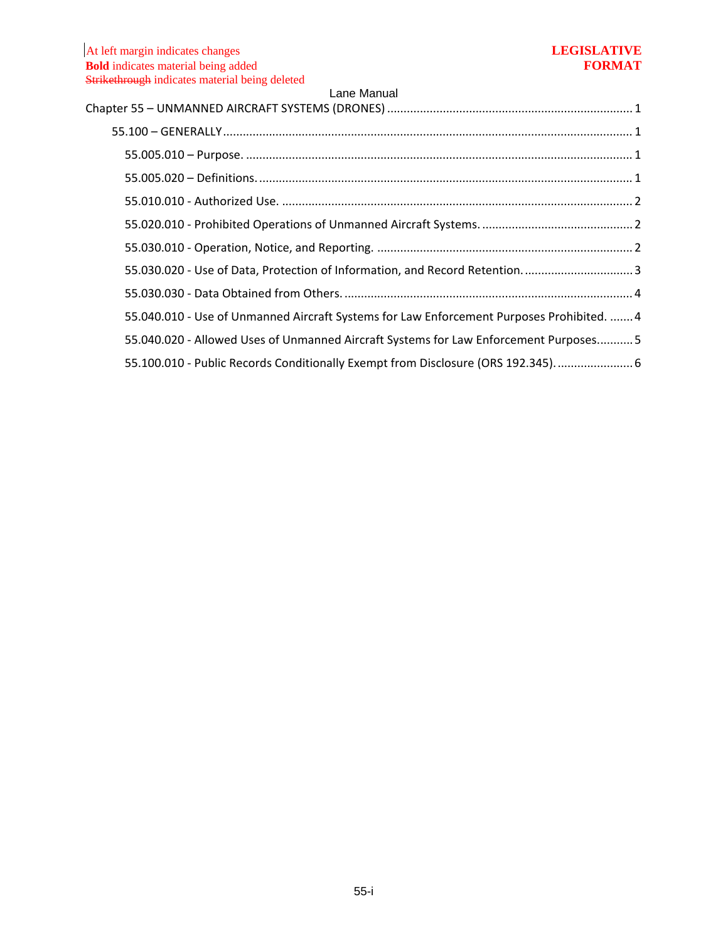| Lui iviui iuui                                                                            |
|-------------------------------------------------------------------------------------------|
|                                                                                           |
|                                                                                           |
|                                                                                           |
|                                                                                           |
|                                                                                           |
|                                                                                           |
| 55.030.020 - Use of Data, Protection of Information, and Record Retention3                |
|                                                                                           |
| 55.040.010 - Use of Unmanned Aircraft Systems for Law Enforcement Purposes Prohibited.  4 |
| 55.040.020 - Allowed Uses of Unmanned Aircraft Systems for Law Enforcement Purposes 5     |
| 55.100.010 - Public Records Conditionally Exempt from Disclosure (ORS 192.345) 6          |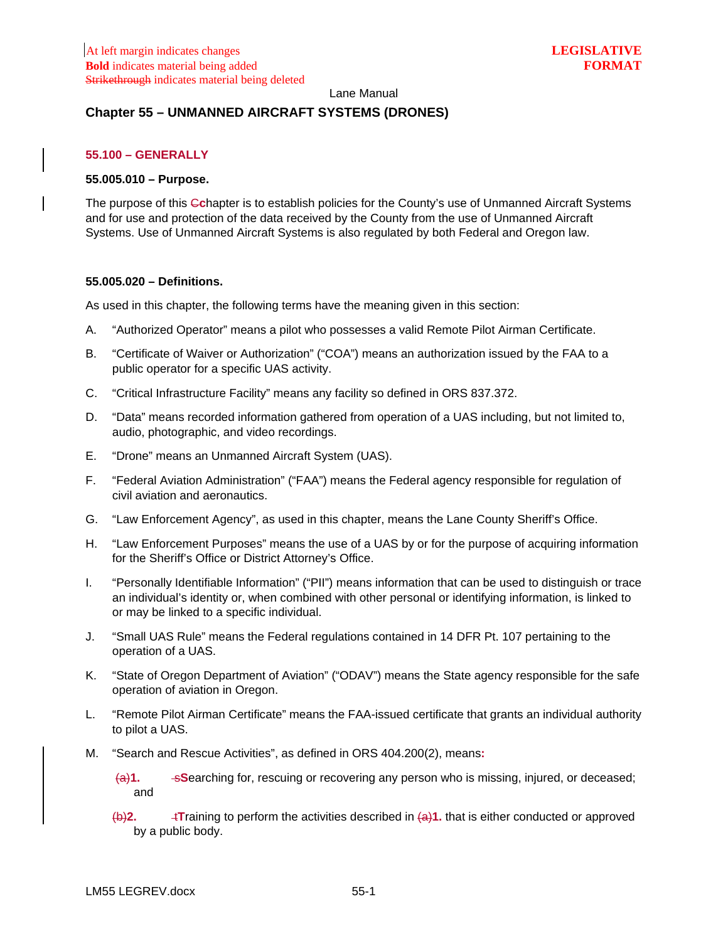## <span id="page-2-0"></span>**Chapter 55 – UNMANNED AIRCRAFT SYSTEMS (DRONES)**

### <span id="page-2-1"></span>**55.100 – GENERALLY**

#### <span id="page-2-2"></span>**55.005.010 – Purpose.**

The purpose of this C**c**hapter is to establish policies for the County's use of Unmanned Aircraft Systems and for use and protection of the data received by the County from the use of Unmanned Aircraft Systems. Use of Unmanned Aircraft Systems is also regulated by both Federal and Oregon law.

### <span id="page-2-3"></span>**55.005.020 – Definitions.**

As used in this chapter, the following terms have the meaning given in this section:

- A. "Authorized Operator" means a pilot who possesses a valid Remote Pilot Airman Certificate.
- B. "Certificate of Waiver or Authorization" ("COA") means an authorization issued by the FAA to a public operator for a specific UAS activity.
- C. "Critical Infrastructure Facility" means any facility so defined in ORS 837.372.
- D. "Data" means recorded information gathered from operation of a UAS including, but not limited to, audio, photographic, and video recordings.
- E. "Drone" means an Unmanned Aircraft System (UAS).
- F. "Federal Aviation Administration" ("FAA") means the Federal agency responsible for regulation of civil aviation and aeronautics.
- G. "Law Enforcement Agency", as used in this chapter, means the Lane County Sheriff's Office.
- H. "Law Enforcement Purposes" means the use of a UAS by or for the purpose of acquiring information for the Sheriff's Office or District Attorney's Office.
- I. "Personally Identifiable Information" ("PII") means information that can be used to distinguish or trace an individual's identity or, when combined with other personal or identifying information, is linked to or may be linked to a specific individual.
- J. "Small UAS Rule" means the Federal regulations contained in 14 DFR Pt. 107 pertaining to the operation of a UAS.
- K. "State of Oregon Department of Aviation" ("ODAV") means the State agency responsible for the safe operation of aviation in Oregon.
- L. "Remote Pilot Airman Certificate" means the FAA-issued certificate that grants an individual authority to pilot a UAS.
- M. "Search and Rescue Activities", as defined in ORS 404.200(2), means**:** 
	- (a)**1.** s**S**earching for, rescuing or recovering any person who is missing, injured, or deceased; and
	- (b)**2.** t**T**raining to perform the activities described in (a)**1.** that is either conducted or approved by a public body.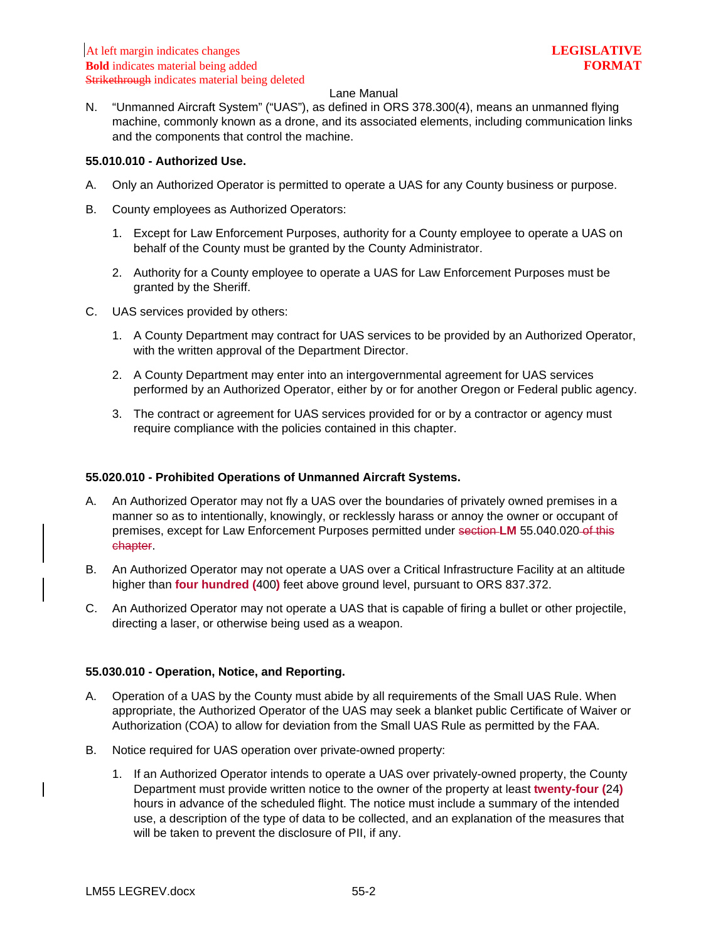N. "Unmanned Aircraft System" ("UAS"), as defined in ORS 378.300(4), means an unmanned flying machine, commonly known as a drone, and its associated elements, including communication links and the components that control the machine.

### <span id="page-3-0"></span>**55.010.010 - Authorized Use.**

- A. Only an Authorized Operator is permitted to operate a UAS for any County business or purpose.
- B. County employees as Authorized Operators:
	- 1. Except for Law Enforcement Purposes, authority for a County employee to operate a UAS on behalf of the County must be granted by the County Administrator.
	- 2. Authority for a County employee to operate a UAS for Law Enforcement Purposes must be granted by the Sheriff.
- C. UAS services provided by others:
	- 1. A County Department may contract for UAS services to be provided by an Authorized Operator, with the written approval of the Department Director.
	- 2. A County Department may enter into an intergovernmental agreement for UAS services performed by an Authorized Operator, either by or for another Oregon or Federal public agency.
	- 3. The contract or agreement for UAS services provided for or by a contractor or agency must require compliance with the policies contained in this chapter.

## <span id="page-3-1"></span>**55.020.010 - Prohibited Operations of Unmanned Aircraft Systems.**

- A. An Authorized Operator may not fly a UAS over the boundaries of privately owned premises in a manner so as to intentionally, knowingly, or recklessly harass or annoy the owner or occupant of premises, except for Law Enforcement Purposes permitted under section **LM** 55.040.020 of this chapter.
- B. An Authorized Operator may not operate a UAS over a Critical Infrastructure Facility at an altitude higher than **four hundred (**400**)** feet above ground level, pursuant to ORS 837.372.
- C. An Authorized Operator may not operate a UAS that is capable of firing a bullet or other projectile, directing a laser, or otherwise being used as a weapon.

## <span id="page-3-2"></span>**55.030.010 - Operation, Notice, and Reporting.**

- A. Operation of a UAS by the County must abide by all requirements of the Small UAS Rule. When appropriate, the Authorized Operator of the UAS may seek a blanket public Certificate of Waiver or Authorization (COA) to allow for deviation from the Small UAS Rule as permitted by the FAA.
- B. Notice required for UAS operation over private-owned property:
	- 1. If an Authorized Operator intends to operate a UAS over privately-owned property, the County Department must provide written notice to the owner of the property at least **twenty-four (**24**)** hours in advance of the scheduled flight. The notice must include a summary of the intended use, a description of the type of data to be collected, and an explanation of the measures that will be taken to prevent the disclosure of PII, if any.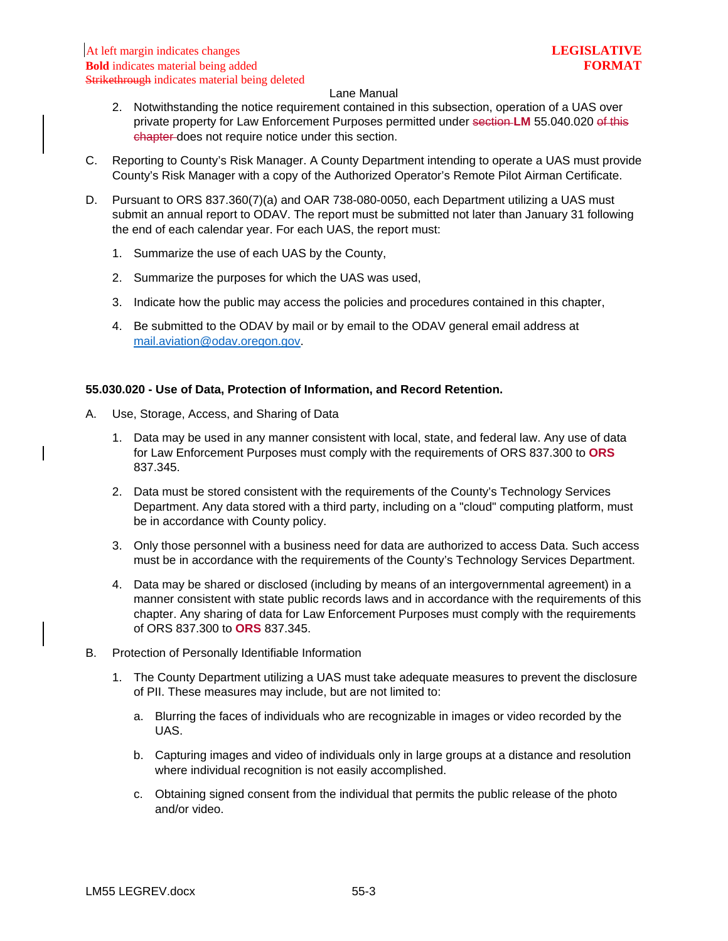- 2. Notwithstanding the notice requirement contained in this subsection, operation of a UAS over private property for Law Enforcement Purposes permitted under section **LM** 55.040.020 of this chapter does not require notice under this section.
- C. Reporting to County's Risk Manager. A County Department intending to operate a UAS must provide County's Risk Manager with a copy of the Authorized Operator's Remote Pilot Airman Certificate.
- D. Pursuant to ORS 837.360(7)(a) and OAR 738-080-0050, each Department utilizing a UAS must submit an annual report to ODAV. The report must be submitted not later than January 31 following the end of each calendar year. For each UAS, the report must:
	- 1. Summarize the use of each UAS by the County,
	- 2. Summarize the purposes for which the UAS was used,
	- 3. Indicate how the public may access the policies and procedures contained in this chapter,
	- 4. Be submitted to the ODAV by mail or by email to the ODAV general email address at [mail.aviation@odav.oregon.gov.](mailto:mail.aviation@odav.oregon.gov)

### <span id="page-4-0"></span>**55.030.020 - Use of Data, Protection of Information, and Record Retention.**

- A. Use, Storage, Access, and Sharing of Data
	- 1. Data may be used in any manner consistent with local, state, and federal law. Any use of data for Law Enforcement Purposes must comply with the requirements of ORS 837.300 to **ORS** 837.345.
	- 2. Data must be stored consistent with the requirements of the County's Technology Services Department. Any data stored with a third party, including on a "cloud" computing platform, must be in accordance with County policy.
	- 3. Only those personnel with a business need for data are authorized to access Data. Such access must be in accordance with the requirements of the County's Technology Services Department.
	- 4. Data may be shared or disclosed (including by means of an intergovernmental agreement) in a manner consistent with state public records laws and in accordance with the requirements of this chapter. Any sharing of data for Law Enforcement Purposes must comply with the requirements of ORS 837.300 to **ORS** 837.345.
- B. Protection of Personally Identifiable Information
	- 1. The County Department utilizing a UAS must take adequate measures to prevent the disclosure of PII. These measures may include, but are not limited to:
		- a. Blurring the faces of individuals who are recognizable in images or video recorded by the UAS.
		- b. Capturing images and video of individuals only in large groups at a distance and resolution where individual recognition is not easily accomplished.
		- c. Obtaining signed consent from the individual that permits the public release of the photo and/or video.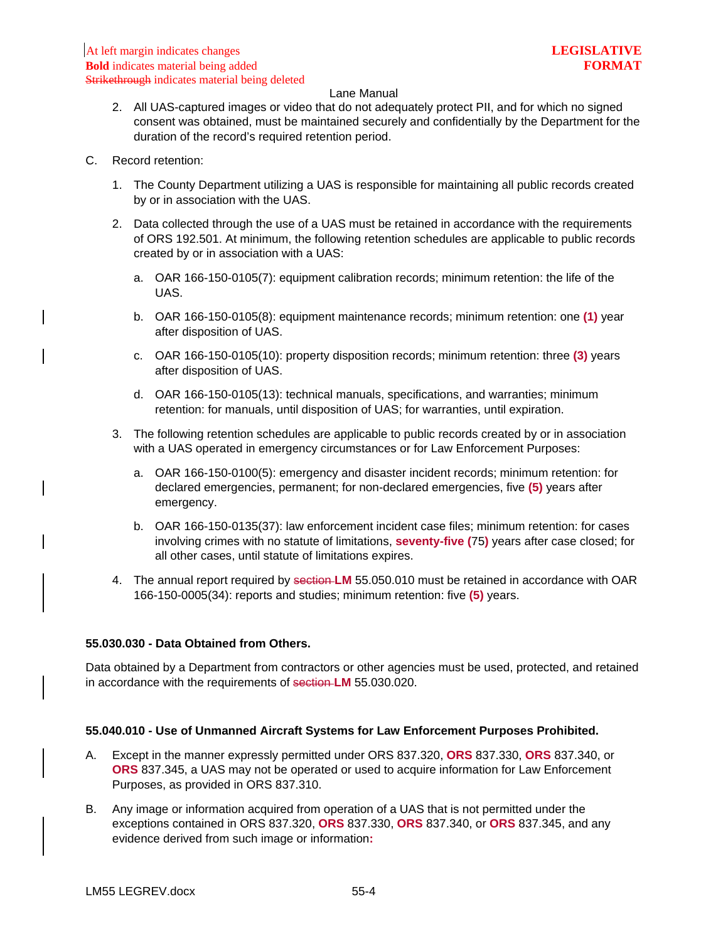- 2. All UAS-captured images or video that do not adequately protect PII, and for which no signed consent was obtained, must be maintained securely and confidentially by the Department for the duration of the record's required retention period.
- C. Record retention:
	- 1. The County Department utilizing a UAS is responsible for maintaining all public records created by or in association with the UAS.
	- 2. Data collected through the use of a UAS must be retained in accordance with the requirements of ORS 192.501. At minimum, the following retention schedules are applicable to public records created by or in association with a UAS:
		- a. OAR 166-150-0105(7): equipment calibration records; minimum retention: the life of the UAS.
		- b. OAR 166-150-0105(8): equipment maintenance records; minimum retention: one **(1)** year after disposition of UAS.
		- c. OAR 166-150-0105(10): property disposition records; minimum retention: three **(3)** years after disposition of UAS.
		- d. OAR 166-150-0105(13): technical manuals, specifications, and warranties; minimum retention: for manuals, until disposition of UAS; for warranties, until expiration.
	- 3. The following retention schedules are applicable to public records created by or in association with a UAS operated in emergency circumstances or for Law Enforcement Purposes:
		- a. OAR 166-150-0100(5): emergency and disaster incident records; minimum retention: for declared emergencies, permanent; for non-declared emergencies, five **(5)** years after emergency.
		- b. OAR 166-150-0135(37): law enforcement incident case files; minimum retention: for cases involving crimes with no statute of limitations, **seventy-five (**75**)** years after case closed; for all other cases, until statute of limitations expires.
	- 4. The annual report required by section **LM** 55.050.010 must be retained in accordance with OAR 166-150-0005(34): reports and studies; minimum retention: five **(5)** years.

## <span id="page-5-0"></span>**55.030.030 - Data Obtained from Others.**

Data obtained by a Department from contractors or other agencies must be used, protected, and retained in accordance with the requirements of section **LM** 55.030.020.

## <span id="page-5-1"></span>**55.040.010 - Use of Unmanned Aircraft Systems for Law Enforcement Purposes Prohibited.**

- A. Except in the manner expressly permitted under ORS 837.320, **ORS** 837.330, **ORS** 837.340, or **ORS** 837.345, a UAS may not be operated or used to acquire information for Law Enforcement Purposes, as provided in ORS 837.310.
- B. Any image or information acquired from operation of a UAS that is not permitted under the exceptions contained in ORS 837.320, **ORS** 837.330, **ORS** 837.340, or **ORS** 837.345, and any evidence derived from such image or information**:**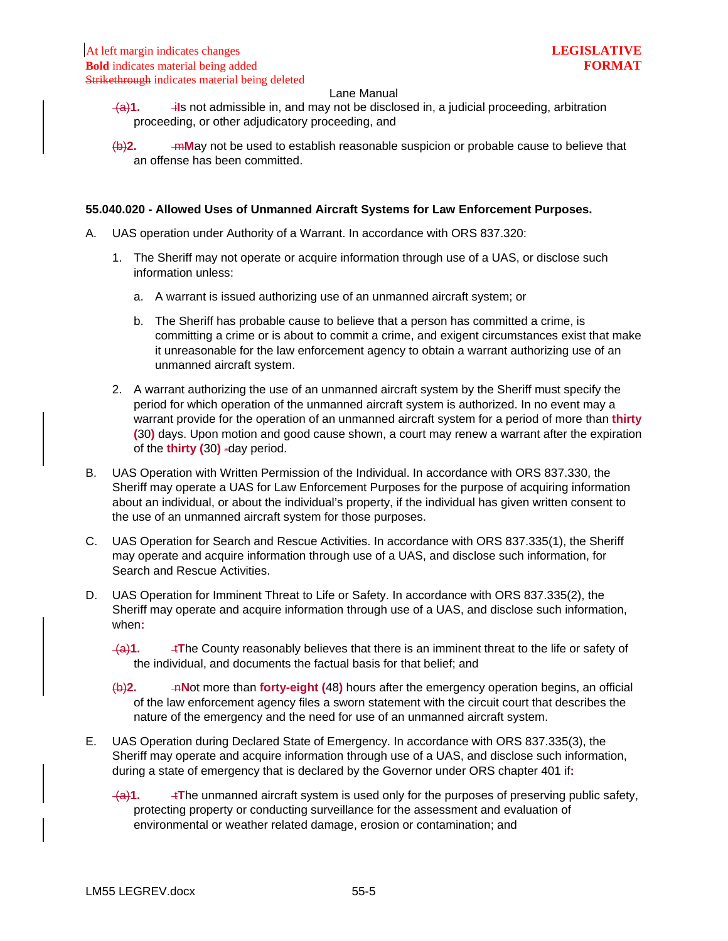- $\overline{a}$ . **i**Is not admissible in, and may not be disclosed in, a judicial proceeding, arbitration proceeding, or other adjudicatory proceeding, and
- (b)**2.** m**M**ay not be used to establish reasonable suspicion or probable cause to believe that an offense has been committed.

#### <span id="page-6-0"></span>**55.040.020 - Allowed Uses of Unmanned Aircraft Systems for Law Enforcement Purposes.**

- A. UAS operation under Authority of a Warrant. In accordance with ORS 837.320:
	- 1. The Sheriff may not operate or acquire information through use of a UAS, or disclose such information unless:
		- a. A warrant is issued authorizing use of an unmanned aircraft system; or
		- b. The Sheriff has probable cause to believe that a person has committed a crime, is committing a crime or is about to commit a crime, and exigent circumstances exist that make it unreasonable for the law enforcement agency to obtain a warrant authorizing use of an unmanned aircraft system.
	- 2. A warrant authorizing the use of an unmanned aircraft system by the Sheriff must specify the period for which operation of the unmanned aircraft system is authorized. In no event may a warrant provide for the operation of an unmanned aircraft system for a period of more than **thirty (**30**)** days. Upon motion and good cause shown, a court may renew a warrant after the expiration of the **thirty (**30**)** -day period.
- B. UAS Operation with Written Permission of the Individual. In accordance with ORS 837.330, the Sheriff may operate a UAS for Law Enforcement Purposes for the purpose of acquiring information about an individual, or about the individual's property, if the individual has given written consent to the use of an unmanned aircraft system for those purposes.
- C. UAS Operation for Search and Rescue Activities. In accordance with ORS 837.335(1), the Sheriff may operate and acquire information through use of a UAS, and disclose such information, for Search and Rescue Activities.
- D. UAS Operation for Imminent Threat to Life or Safety. In accordance with ORS 837.335(2), the Sheriff may operate and acquire information through use of a UAS, and disclose such information, when**:** 
	- $\overline{+a}$ .  $\overline{+1}$ **The County reasonably believes that there is an imminent threat to the life or safety of** the individual, and documents the factual basis for that belief; and
	- (b)**2.** n**N**ot more than **forty-eight (**48**)** hours after the emergency operation begins, an official of the law enforcement agency files a sworn statement with the circuit court that describes the nature of the emergency and the need for use of an unmanned aircraft system.
- E. UAS Operation during Declared State of Emergency. In accordance with ORS 837.335(3), the Sheriff may operate and acquire information through use of a UAS, and disclose such information, during a state of emergency that is declared by the Governor under ORS chapter 401 if**:** 
	- $\overline{+a}$ 1.  $\overline{-1}$ **The unmanned aircraft system is used only for the purposes of preserving public safety,** protecting property or conducting surveillance for the assessment and evaluation of environmental or weather related damage, erosion or contamination; and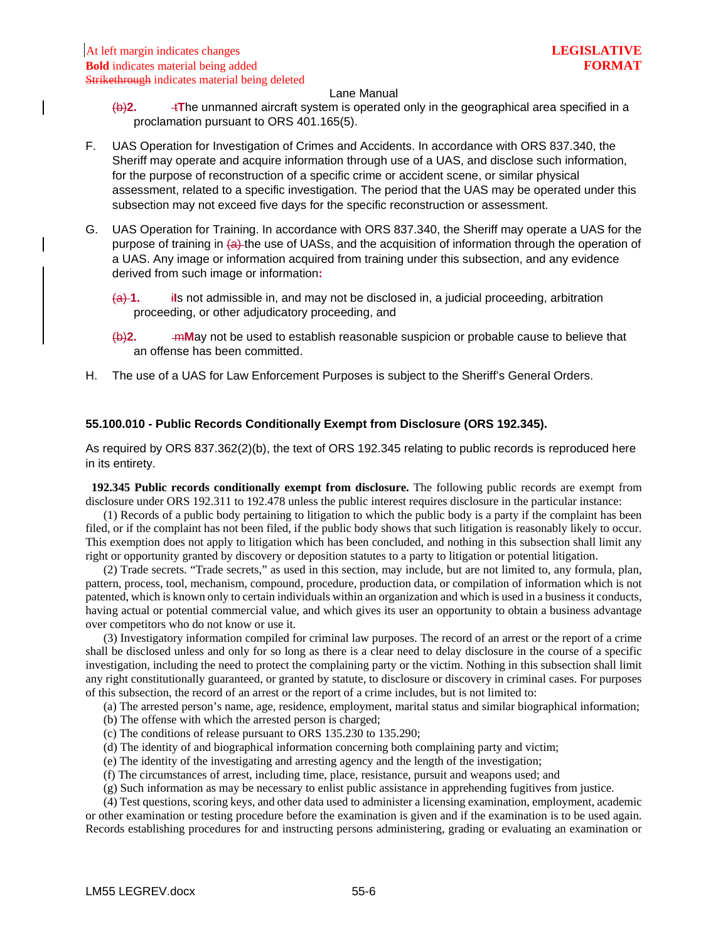- (b)**2.** t**T**he unmanned aircraft system is operated only in the geographical area specified in a proclamation pursuant to ORS 401.165(5).
- F. UAS Operation for Investigation of Crimes and Accidents. In accordance with ORS 837.340, the Sheriff may operate and acquire information through use of a UAS, and disclose such information, for the purpose of reconstruction of a specific crime or accident scene, or similar physical assessment, related to a specific investigation. The period that the UAS may be operated under this subsection may not exceed five days for the specific reconstruction or assessment.
- G. UAS Operation for Training. In accordance with ORS 837.340, the Sheriff may operate a UAS for the purpose of training in (a) the use of UASs, and the acquisition of information through the operation of a UAS. Any image or information acquired from training under this subsection, and any evidence derived from such image or information**:**
	- (a) **1.** i**I**s not admissible in, and may not be disclosed in, a judicial proceeding, arbitration proceeding, or other adjudicatory proceeding, and
	- (b)**2.** m**M**ay not be used to establish reasonable suspicion or probable cause to believe that an offense has been committed.
- H. The use of a UAS for Law Enforcement Purposes is subject to the Sheriff's General Orders.

## <span id="page-7-0"></span>**55.100.010 - Public Records Conditionally Exempt from Disclosure (ORS 192.345).**

As required by ORS 837.362(2)(b), the text of ORS 192.345 relating to public records is reproduced here in its entirety.

 **192.345 Public records conditionally exempt from disclosure.** The following public records are exempt from disclosure under ORS 192.311 to 192.478 unless the public interest requires disclosure in the particular instance:

 (1) Records of a public body pertaining to litigation to which the public body is a party if the complaint has been filed, or if the complaint has not been filed, if the public body shows that such litigation is reasonably likely to occur. This exemption does not apply to litigation which has been concluded, and nothing in this subsection shall limit any right or opportunity granted by discovery or deposition statutes to a party to litigation or potential litigation.

 (2) Trade secrets. "Trade secrets," as used in this section, may include, but are not limited to, any formula, plan, pattern, process, tool, mechanism, compound, procedure, production data, or compilation of information which is not patented, which is known only to certain individuals within an organization and which is used in a business it conducts, having actual or potential commercial value, and which gives its user an opportunity to obtain a business advantage over competitors who do not know or use it.

 (3) Investigatory information compiled for criminal law purposes. The record of an arrest or the report of a crime shall be disclosed unless and only for so long as there is a clear need to delay disclosure in the course of a specific investigation, including the need to protect the complaining party or the victim. Nothing in this subsection shall limit any right constitutionally guaranteed, or granted by statute, to disclosure or discovery in criminal cases. For purposes of this subsection, the record of an arrest or the report of a crime includes, but is not limited to:

(a) The arrested person's name, age, residence, employment, marital status and similar biographical information;

(b) The offense with which the arrested person is charged;

- (c) The conditions of release pursuant to ORS 135.230 to 135.290;
- (d) The identity of and biographical information concerning both complaining party and victim;
- (e) The identity of the investigating and arresting agency and the length of the investigation;
- (f) The circumstances of arrest, including time, place, resistance, pursuit and weapons used; and
- (g) Such information as may be necessary to enlist public assistance in apprehending fugitives from justice.

(4) Test questions, scoring keys, and other data used to administer a licensing examination, employment, academic or other examination or testing procedure before the examination is given and if the examination is to be used again. Records establishing procedures for and instructing persons administering, grading or evaluating an examination or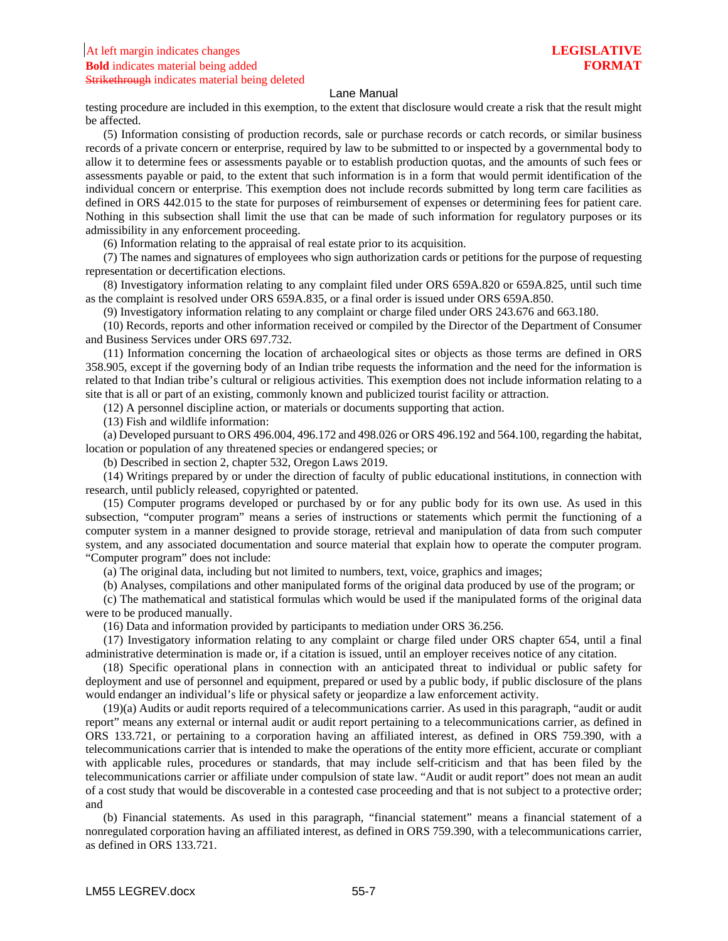testing procedure are included in this exemption, to the extent that disclosure would create a risk that the result might be affected.

 (5) Information consisting of production records, sale or purchase records or catch records, or similar business records of a private concern or enterprise, required by law to be submitted to or inspected by a governmental body to allow it to determine fees or assessments payable or to establish production quotas, and the amounts of such fees or assessments payable or paid, to the extent that such information is in a form that would permit identification of the individual concern or enterprise. This exemption does not include records submitted by long term care facilities as defined in ORS 442.015 to the state for purposes of reimbursement of expenses or determining fees for patient care. Nothing in this subsection shall limit the use that can be made of such information for regulatory purposes or its admissibility in any enforcement proceeding.

(6) Information relating to the appraisal of real estate prior to its acquisition.

 (7) The names and signatures of employees who sign authorization cards or petitions for the purpose of requesting representation or decertification elections.

 (8) Investigatory information relating to any complaint filed under ORS 659A.820 or 659A.825, until such time as the complaint is resolved under ORS 659A.835, or a final order is issued under ORS 659A.850.

(9) Investigatory information relating to any complaint or charge filed under ORS 243.676 and 663.180.

 (10) Records, reports and other information received or compiled by the Director of the Department of Consumer and Business Services under ORS 697.732.

 (11) Information concerning the location of archaeological sites or objects as those terms are defined in ORS 358.905, except if the governing body of an Indian tribe requests the information and the need for the information is related to that Indian tribe's cultural or religious activities. This exemption does not include information relating to a site that is all or part of an existing, commonly known and publicized tourist facility or attraction.

(12) A personnel discipline action, or materials or documents supporting that action.

(13) Fish and wildlife information:

 (a) Developed pursuant to ORS 496.004, 496.172 and 498.026 or ORS 496.192 and 564.100, regarding the habitat, location or population of any threatened species or endangered species; or

(b) Described in section 2, chapter 532, Oregon Laws 2019.

 (14) Writings prepared by or under the direction of faculty of public educational institutions, in connection with research, until publicly released, copyrighted or patented.

 (15) Computer programs developed or purchased by or for any public body for its own use. As used in this subsection, "computer program" means a series of instructions or statements which permit the functioning of a computer system in a manner designed to provide storage, retrieval and manipulation of data from such computer system, and any associated documentation and source material that explain how to operate the computer program. "Computer program" does not include:

(a) The original data, including but not limited to numbers, text, voice, graphics and images;

(b) Analyses, compilations and other manipulated forms of the original data produced by use of the program; or

 (c) The mathematical and statistical formulas which would be used if the manipulated forms of the original data were to be produced manually.

(16) Data and information provided by participants to mediation under ORS 36.256.

 (17) Investigatory information relating to any complaint or charge filed under ORS chapter 654, until a final administrative determination is made or, if a citation is issued, until an employer receives notice of any citation.

 (18) Specific operational plans in connection with an anticipated threat to individual or public safety for deployment and use of personnel and equipment, prepared or used by a public body, if public disclosure of the plans would endanger an individual's life or physical safety or jeopardize a law enforcement activity.

 (19)(a) Audits or audit reports required of a telecommunications carrier. As used in this paragraph, "audit or audit report" means any external or internal audit or audit report pertaining to a telecommunications carrier, as defined in ORS 133.721, or pertaining to a corporation having an affiliated interest, as defined in ORS 759.390, with a telecommunications carrier that is intended to make the operations of the entity more efficient, accurate or compliant with applicable rules, procedures or standards, that may include self-criticism and that has been filed by the telecommunications carrier or affiliate under compulsion of state law. "Audit or audit report" does not mean an audit of a cost study that would be discoverable in a contested case proceeding and that is not subject to a protective order; and

 (b) Financial statements. As used in this paragraph, "financial statement" means a financial statement of a nonregulated corporation having an affiliated interest, as defined in ORS 759.390, with a telecommunications carrier, as defined in ORS 133.721.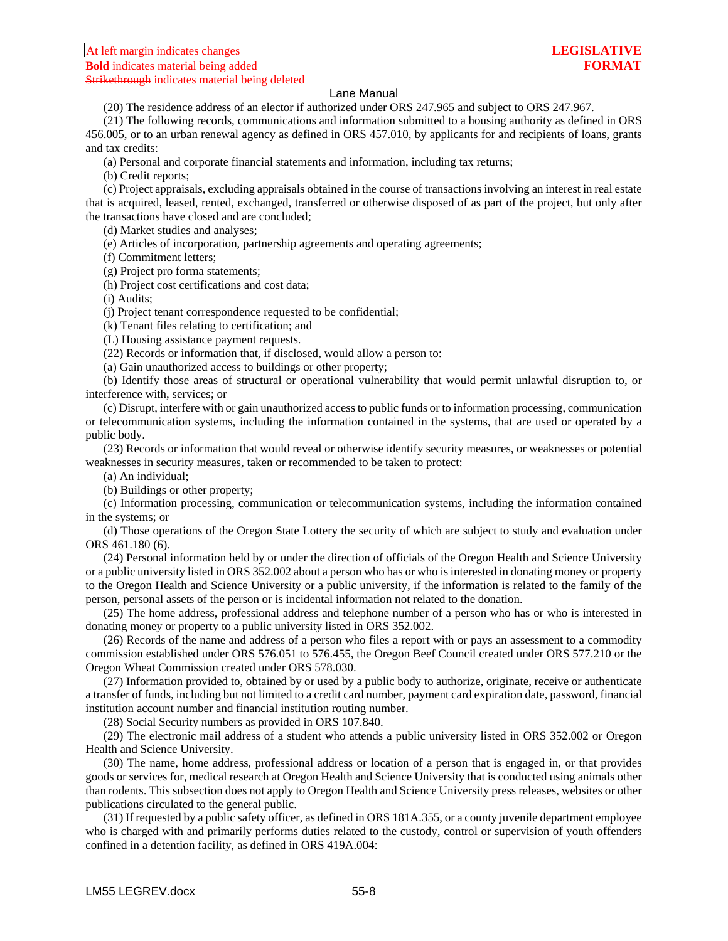(20) The residence address of an elector if authorized under ORS 247.965 and subject to ORS 247.967.

 (21) The following records, communications and information submitted to a housing authority as defined in ORS 456.005, or to an urban renewal agency as defined in ORS 457.010, by applicants for and recipients of loans, grants and tax credits:

(a) Personal and corporate financial statements and information, including tax returns;

(b) Credit reports;

 (c) Project appraisals, excluding appraisals obtained in the course of transactions involving an interest in real estate that is acquired, leased, rented, exchanged, transferred or otherwise disposed of as part of the project, but only after the transactions have closed and are concluded;

(d) Market studies and analyses;

(e) Articles of incorporation, partnership agreements and operating agreements;

(f) Commitment letters;

(g) Project pro forma statements;

(h) Project cost certifications and cost data;

(i) Audits;

(j) Project tenant correspondence requested to be confidential;

(k) Tenant files relating to certification; and

(L) Housing assistance payment requests.

(22) Records or information that, if disclosed, would allow a person to:

(a) Gain unauthorized access to buildings or other property;

 (b) Identify those areas of structural or operational vulnerability that would permit unlawful disruption to, or interference with, services; or

 (c) Disrupt, interfere with or gain unauthorized access to public funds or to information processing, communication or telecommunication systems, including the information contained in the systems, that are used or operated by a public body.

 (23) Records or information that would reveal or otherwise identify security measures, or weaknesses or potential weaknesses in security measures, taken or recommended to be taken to protect:

(a) An individual;

(b) Buildings or other property;

 (c) Information processing, communication or telecommunication systems, including the information contained in the systems; or

 (d) Those operations of the Oregon State Lottery the security of which are subject to study and evaluation under ORS 461.180 (6).

 (24) Personal information held by or under the direction of officials of the Oregon Health and Science University or a public university listed in ORS 352.002 about a person who has or who is interested in donating money or property to the Oregon Health and Science University or a public university, if the information is related to the family of the person, personal assets of the person or is incidental information not related to the donation.

 (25) The home address, professional address and telephone number of a person who has or who is interested in donating money or property to a public university listed in ORS 352.002.

 (26) Records of the name and address of a person who files a report with or pays an assessment to a commodity commission established under ORS 576.051 to 576.455, the Oregon Beef Council created under ORS 577.210 or the Oregon Wheat Commission created under ORS 578.030.

 (27) Information provided to, obtained by or used by a public body to authorize, originate, receive or authenticate a transfer of funds, including but not limited to a credit card number, payment card expiration date, password, financial institution account number and financial institution routing number.

(28) Social Security numbers as provided in ORS 107.840.

 (29) The electronic mail address of a student who attends a public university listed in ORS 352.002 or Oregon Health and Science University.

 (30) The name, home address, professional address or location of a person that is engaged in, or that provides goods or services for, medical research at Oregon Health and Science University that is conducted using animals other than rodents. This subsection does not apply to Oregon Health and Science University press releases, websites or other publications circulated to the general public.

 (31) If requested by a public safety officer, as defined in ORS 181A.355, or a county juvenile department employee who is charged with and primarily performs duties related to the custody, control or supervision of youth offenders confined in a detention facility, as defined in ORS 419A.004: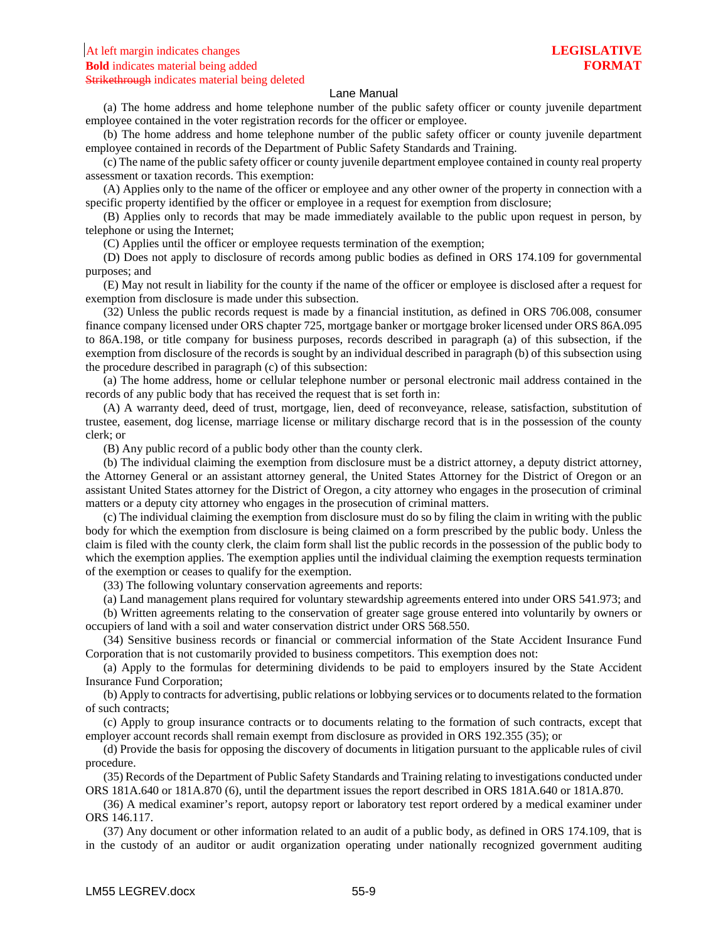(a) The home address and home telephone number of the public safety officer or county juvenile department employee contained in the voter registration records for the officer or employee.

 (b) The home address and home telephone number of the public safety officer or county juvenile department employee contained in records of the Department of Public Safety Standards and Training.

 (c) The name of the public safety officer or county juvenile department employee contained in county real property assessment or taxation records. This exemption:

 (A) Applies only to the name of the officer or employee and any other owner of the property in connection with a specific property identified by the officer or employee in a request for exemption from disclosure;

 (B) Applies only to records that may be made immediately available to the public upon request in person, by telephone or using the Internet;

(C) Applies until the officer or employee requests termination of the exemption;

 (D) Does not apply to disclosure of records among public bodies as defined in ORS 174.109 for governmental purposes; and

 (E) May not result in liability for the county if the name of the officer or employee is disclosed after a request for exemption from disclosure is made under this subsection.

 (32) Unless the public records request is made by a financial institution, as defined in ORS 706.008, consumer finance company licensed under ORS chapter 725, mortgage banker or mortgage broker licensed under ORS 86A.095 to 86A.198, or title company for business purposes, records described in paragraph (a) of this subsection, if the exemption from disclosure of the records is sought by an individual described in paragraph (b) of this subsection using the procedure described in paragraph (c) of this subsection:

 (a) The home address, home or cellular telephone number or personal electronic mail address contained in the records of any public body that has received the request that is set forth in:

 (A) A warranty deed, deed of trust, mortgage, lien, deed of reconveyance, release, satisfaction, substitution of trustee, easement, dog license, marriage license or military discharge record that is in the possession of the county clerk; or

(B) Any public record of a public body other than the county clerk.

 (b) The individual claiming the exemption from disclosure must be a district attorney, a deputy district attorney, the Attorney General or an assistant attorney general, the United States Attorney for the District of Oregon or an assistant United States attorney for the District of Oregon, a city attorney who engages in the prosecution of criminal matters or a deputy city attorney who engages in the prosecution of criminal matters.

 (c) The individual claiming the exemption from disclosure must do so by filing the claim in writing with the public body for which the exemption from disclosure is being claimed on a form prescribed by the public body. Unless the claim is filed with the county clerk, the claim form shall list the public records in the possession of the public body to which the exemption applies. The exemption applies until the individual claiming the exemption requests termination of the exemption or ceases to qualify for the exemption.

(33) The following voluntary conservation agreements and reports:

(a) Land management plans required for voluntary stewardship agreements entered into under ORS 541.973; and

 (b) Written agreements relating to the conservation of greater sage grouse entered into voluntarily by owners or occupiers of land with a soil and water conservation district under ORS 568.550.

 (34) Sensitive business records or financial or commercial information of the State Accident Insurance Fund Corporation that is not customarily provided to business competitors. This exemption does not:

 (a) Apply to the formulas for determining dividends to be paid to employers insured by the State Accident Insurance Fund Corporation;

 (b) Apply to contracts for advertising, public relations or lobbying services or to documents related to the formation of such contracts;

 (c) Apply to group insurance contracts or to documents relating to the formation of such contracts, except that employer account records shall remain exempt from disclosure as provided in ORS 192.355 (35); or

 (d) Provide the basis for opposing the discovery of documents in litigation pursuant to the applicable rules of civil procedure.

 (35) Records of the Department of Public Safety Standards and Training relating to investigations conducted under ORS 181A.640 or 181A.870 (6), until the department issues the report described in ORS 181A.640 or 181A.870.

 (36) A medical examiner's report, autopsy report or laboratory test report ordered by a medical examiner under ORS 146.117.

 (37) Any document or other information related to an audit of a public body, as defined in ORS 174.109, that is in the custody of an auditor or audit organization operating under nationally recognized government auditing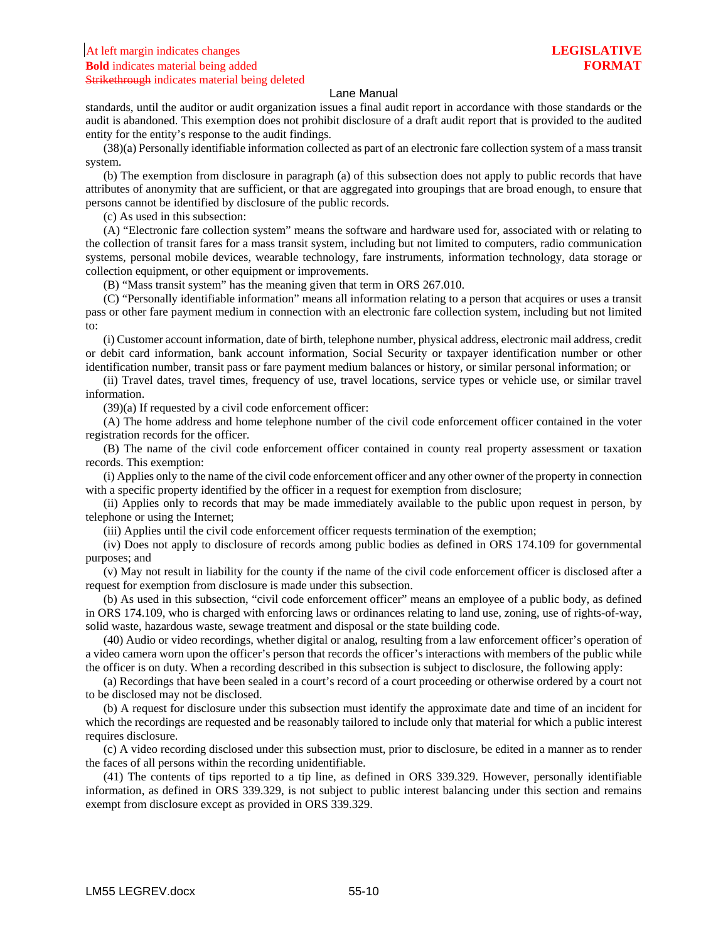### At left margin indicates changes **LEGISLATIVE Bold** indicates material being added **FORMAT** Strikethrough indicates material being deleted

#### Lane Manual

standards, until the auditor or audit organization issues a final audit report in accordance with those standards or the audit is abandoned. This exemption does not prohibit disclosure of a draft audit report that is provided to the audited entity for the entity's response to the audit findings.

 (38)(a) Personally identifiable information collected as part of an electronic fare collection system of a mass transit system.

 (b) The exemption from disclosure in paragraph (a) of this subsection does not apply to public records that have attributes of anonymity that are sufficient, or that are aggregated into groupings that are broad enough, to ensure that persons cannot be identified by disclosure of the public records.

(c) As used in this subsection:

 (A) "Electronic fare collection system" means the software and hardware used for, associated with or relating to the collection of transit fares for a mass transit system, including but not limited to computers, radio communication systems, personal mobile devices, wearable technology, fare instruments, information technology, data storage or collection equipment, or other equipment or improvements.

(B) "Mass transit system" has the meaning given that term in ORS 267.010.

 (C) "Personally identifiable information" means all information relating to a person that acquires or uses a transit pass or other fare payment medium in connection with an electronic fare collection system, including but not limited to:

 (i) Customer account information, date of birth, telephone number, physical address, electronic mail address, credit or debit card information, bank account information, Social Security or taxpayer identification number or other identification number, transit pass or fare payment medium balances or history, or similar personal information; or

 (ii) Travel dates, travel times, frequency of use, travel locations, service types or vehicle use, or similar travel information.

(39)(a) If requested by a civil code enforcement officer:

 (A) The home address and home telephone number of the civil code enforcement officer contained in the voter registration records for the officer.

 (B) The name of the civil code enforcement officer contained in county real property assessment or taxation records. This exemption:

 (i) Applies only to the name of the civil code enforcement officer and any other owner of the property in connection with a specific property identified by the officer in a request for exemption from disclosure;

 (ii) Applies only to records that may be made immediately available to the public upon request in person, by telephone or using the Internet;

(iii) Applies until the civil code enforcement officer requests termination of the exemption;

 (iv) Does not apply to disclosure of records among public bodies as defined in ORS 174.109 for governmental purposes; and

 (v) May not result in liability for the county if the name of the civil code enforcement officer is disclosed after a request for exemption from disclosure is made under this subsection.

 (b) As used in this subsection, "civil code enforcement officer" means an employee of a public body, as defined in ORS 174.109, who is charged with enforcing laws or ordinances relating to land use, zoning, use of rights-of-way, solid waste, hazardous waste, sewage treatment and disposal or the state building code.

 (40) Audio or video recordings, whether digital or analog, resulting from a law enforcement officer's operation of a video camera worn upon the officer's person that records the officer's interactions with members of the public while the officer is on duty. When a recording described in this subsection is subject to disclosure, the following apply:

 (a) Recordings that have been sealed in a court's record of a court proceeding or otherwise ordered by a court not to be disclosed may not be disclosed.

 (b) A request for disclosure under this subsection must identify the approximate date and time of an incident for which the recordings are requested and be reasonably tailored to include only that material for which a public interest requires disclosure.

 (c) A video recording disclosed under this subsection must, prior to disclosure, be edited in a manner as to render the faces of all persons within the recording unidentifiable.

 (41) The contents of tips reported to a tip line, as defined in ORS 339.329. However, personally identifiable information, as defined in ORS 339.329, is not subject to public interest balancing under this section and remains exempt from disclosure except as provided in ORS 339.329.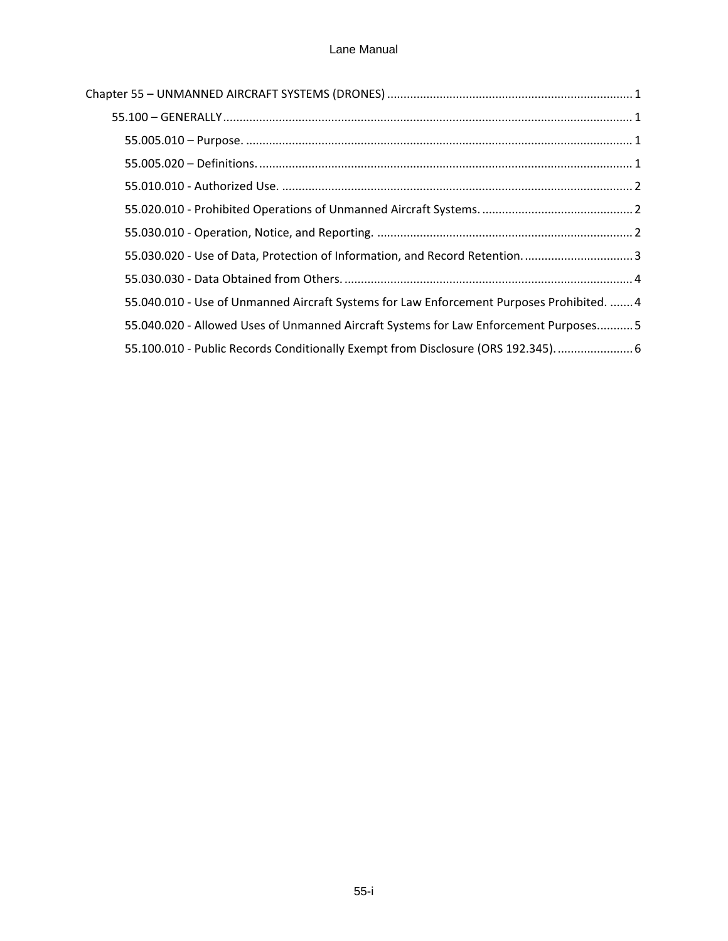| 55.030.020 - Use of Data, Protection of Information, and Record Retention 3               |
|-------------------------------------------------------------------------------------------|
|                                                                                           |
| 55.040.010 - Use of Unmanned Aircraft Systems for Law Enforcement Purposes Prohibited.  4 |
| 55.040.020 - Allowed Uses of Unmanned Aircraft Systems for Law Enforcement Purposes 5     |
| 55.100.010 - Public Records Conditionally Exempt from Disclosure (ORS 192.345).  6        |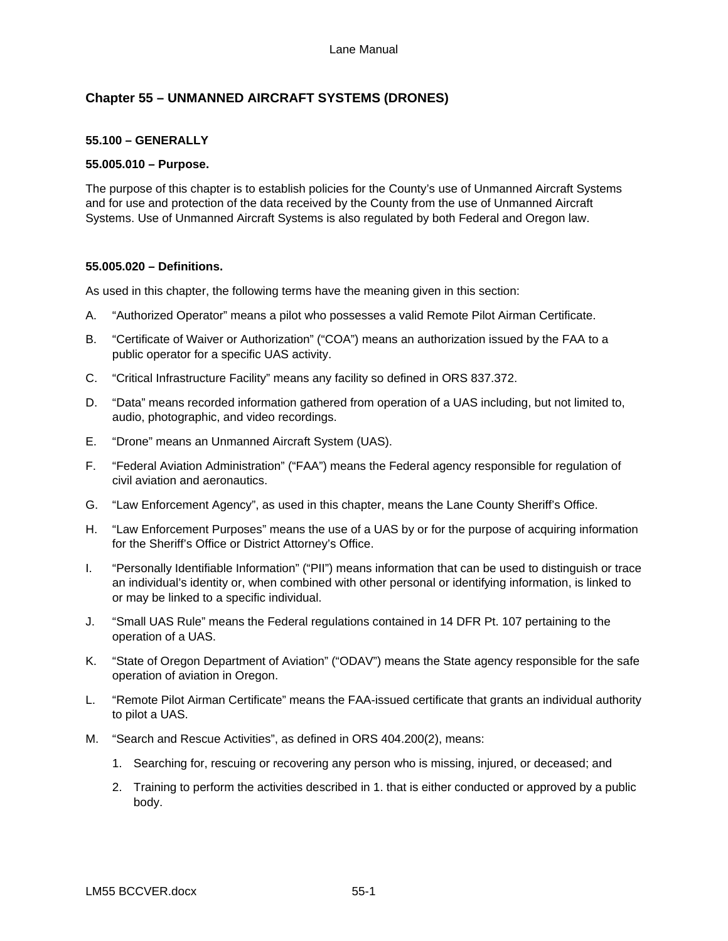# <span id="page-13-0"></span>**Chapter 55 – UNMANNED AIRCRAFT SYSTEMS (DRONES)**

## <span id="page-13-1"></span>**55.100 – GENERALLY**

## <span id="page-13-2"></span>**55.005.010 – Purpose.**

The purpose of this chapter is to establish policies for the County's use of Unmanned Aircraft Systems and for use and protection of the data received by the County from the use of Unmanned Aircraft Systems. Use of Unmanned Aircraft Systems is also regulated by both Federal and Oregon law.

## <span id="page-13-3"></span>**55.005.020 – Definitions.**

As used in this chapter, the following terms have the meaning given in this section:

- A. "Authorized Operator" means a pilot who possesses a valid Remote Pilot Airman Certificate.
- B. "Certificate of Waiver or Authorization" ("COA") means an authorization issued by the FAA to a public operator for a specific UAS activity.
- C. "Critical Infrastructure Facility" means any facility so defined in ORS 837.372.
- D. "Data" means recorded information gathered from operation of a UAS including, but not limited to, audio, photographic, and video recordings.
- E. "Drone" means an Unmanned Aircraft System (UAS).
- F. "Federal Aviation Administration" ("FAA") means the Federal agency responsible for regulation of civil aviation and aeronautics.
- G. "Law Enforcement Agency", as used in this chapter, means the Lane County Sheriff's Office.
- H. "Law Enforcement Purposes" means the use of a UAS by or for the purpose of acquiring information for the Sheriff's Office or District Attorney's Office.
- I. "Personally Identifiable Information" ("PII") means information that can be used to distinguish or trace an individual's identity or, when combined with other personal or identifying information, is linked to or may be linked to a specific individual.
- J. "Small UAS Rule" means the Federal regulations contained in 14 DFR Pt. 107 pertaining to the operation of a UAS.
- K. "State of Oregon Department of Aviation" ("ODAV") means the State agency responsible for the safe operation of aviation in Oregon.
- L. "Remote Pilot Airman Certificate" means the FAA-issued certificate that grants an individual authority to pilot a UAS.
- M. "Search and Rescue Activities", as defined in ORS 404.200(2), means:
	- 1. Searching for, rescuing or recovering any person who is missing, injured, or deceased; and
	- 2. Training to perform the activities described in 1. that is either conducted or approved by a public body.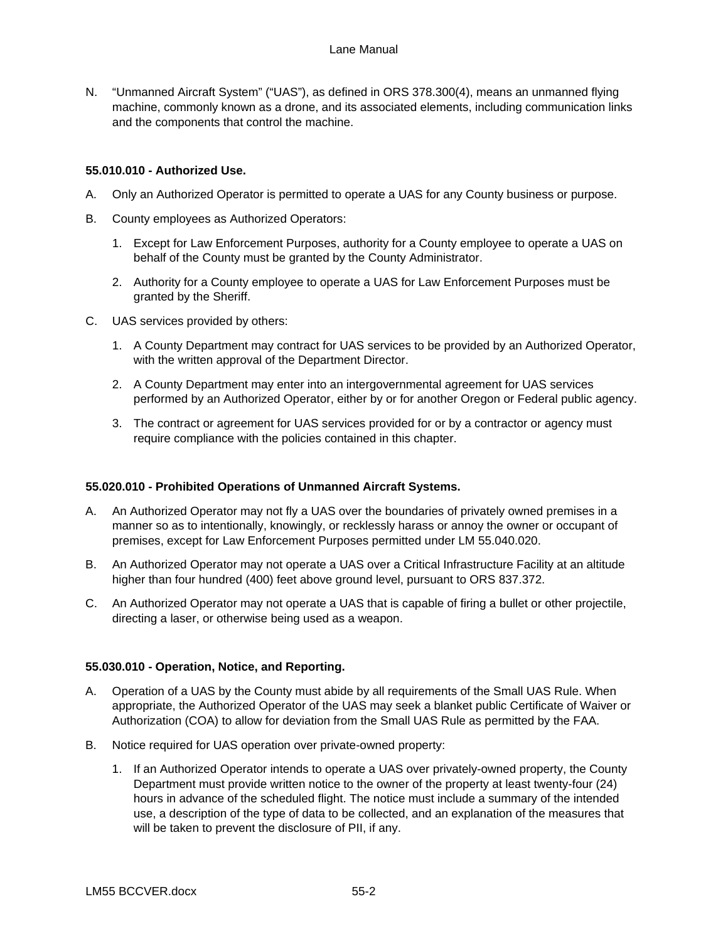N. "Unmanned Aircraft System" ("UAS"), as defined in ORS 378.300(4), means an unmanned flying machine, commonly known as a drone, and its associated elements, including communication links and the components that control the machine.

## <span id="page-14-0"></span>**55.010.010 - Authorized Use.**

- A. Only an Authorized Operator is permitted to operate a UAS for any County business or purpose.
- B. County employees as Authorized Operators:
	- 1. Except for Law Enforcement Purposes, authority for a County employee to operate a UAS on behalf of the County must be granted by the County Administrator.
	- 2. Authority for a County employee to operate a UAS for Law Enforcement Purposes must be granted by the Sheriff.
- C. UAS services provided by others:
	- 1. A County Department may contract for UAS services to be provided by an Authorized Operator, with the written approval of the Department Director.
	- 2. A County Department may enter into an intergovernmental agreement for UAS services performed by an Authorized Operator, either by or for another Oregon or Federal public agency.
	- 3. The contract or agreement for UAS services provided for or by a contractor or agency must require compliance with the policies contained in this chapter.

## <span id="page-14-1"></span>**55.020.010 - Prohibited Operations of Unmanned Aircraft Systems.**

- A. An Authorized Operator may not fly a UAS over the boundaries of privately owned premises in a manner so as to intentionally, knowingly, or recklessly harass or annoy the owner or occupant of premises, except for Law Enforcement Purposes permitted under LM 55.040.020.
- B. An Authorized Operator may not operate a UAS over a Critical Infrastructure Facility at an altitude higher than four hundred (400) feet above ground level, pursuant to ORS 837.372.
- C. An Authorized Operator may not operate a UAS that is capable of firing a bullet or other projectile, directing a laser, or otherwise being used as a weapon.

## <span id="page-14-2"></span>**55.030.010 - Operation, Notice, and Reporting.**

- A. Operation of a UAS by the County must abide by all requirements of the Small UAS Rule. When appropriate, the Authorized Operator of the UAS may seek a blanket public Certificate of Waiver or Authorization (COA) to allow for deviation from the Small UAS Rule as permitted by the FAA.
- B. Notice required for UAS operation over private-owned property:
	- 1. If an Authorized Operator intends to operate a UAS over privately-owned property, the County Department must provide written notice to the owner of the property at least twenty-four (24) hours in advance of the scheduled flight. The notice must include a summary of the intended use, a description of the type of data to be collected, and an explanation of the measures that will be taken to prevent the disclosure of PII, if any.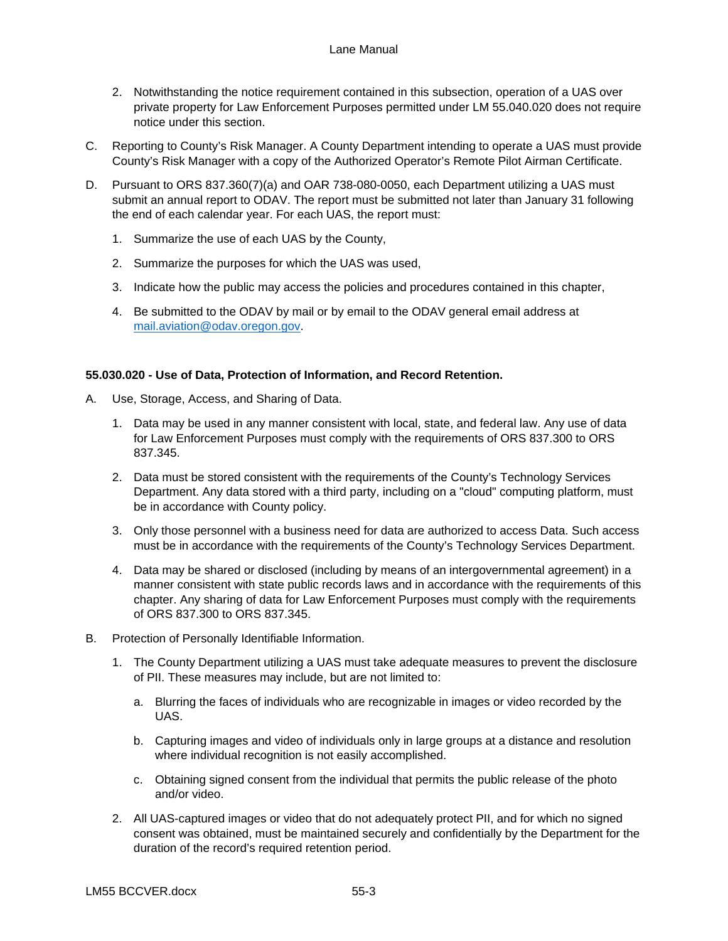- 2. Notwithstanding the notice requirement contained in this subsection, operation of a UAS over private property for Law Enforcement Purposes permitted under LM 55.040.020 does not require notice under this section.
- C. Reporting to County's Risk Manager. A County Department intending to operate a UAS must provide County's Risk Manager with a copy of the Authorized Operator's Remote Pilot Airman Certificate.
- D. Pursuant to ORS 837.360(7)(a) and OAR 738-080-0050, each Department utilizing a UAS must submit an annual report to ODAV. The report must be submitted not later than January 31 following the end of each calendar year. For each UAS, the report must:
	- 1. Summarize the use of each UAS by the County,
	- 2. Summarize the purposes for which the UAS was used,
	- 3. Indicate how the public may access the policies and procedures contained in this chapter,
	- 4. Be submitted to the ODAV by mail or by email to the ODAV general email address at [mail.aviation@odav.oregon.gov.](mailto:mail.aviation@odav.oregon.gov)

## <span id="page-15-0"></span>**55.030.020 - Use of Data, Protection of Information, and Record Retention.**

- A. Use, Storage, Access, and Sharing of Data.
	- 1. Data may be used in any manner consistent with local, state, and federal law. Any use of data for Law Enforcement Purposes must comply with the requirements of ORS 837.300 to ORS 837.345.
	- 2. Data must be stored consistent with the requirements of the County's Technology Services Department. Any data stored with a third party, including on a "cloud" computing platform, must be in accordance with County policy.
	- 3. Only those personnel with a business need for data are authorized to access Data. Such access must be in accordance with the requirements of the County's Technology Services Department.
	- 4. Data may be shared or disclosed (including by means of an intergovernmental agreement) in a manner consistent with state public records laws and in accordance with the requirements of this chapter. Any sharing of data for Law Enforcement Purposes must comply with the requirements of ORS 837.300 to ORS 837.345.
- B. Protection of Personally Identifiable Information.
	- 1. The County Department utilizing a UAS must take adequate measures to prevent the disclosure of PII. These measures may include, but are not limited to:
		- a. Blurring the faces of individuals who are recognizable in images or video recorded by the UAS.
		- b. Capturing images and video of individuals only in large groups at a distance and resolution where individual recognition is not easily accomplished.
		- c. Obtaining signed consent from the individual that permits the public release of the photo and/or video.
	- 2. All UAS-captured images or video that do not adequately protect PII, and for which no signed consent was obtained, must be maintained securely and confidentially by the Department for the duration of the record's required retention period.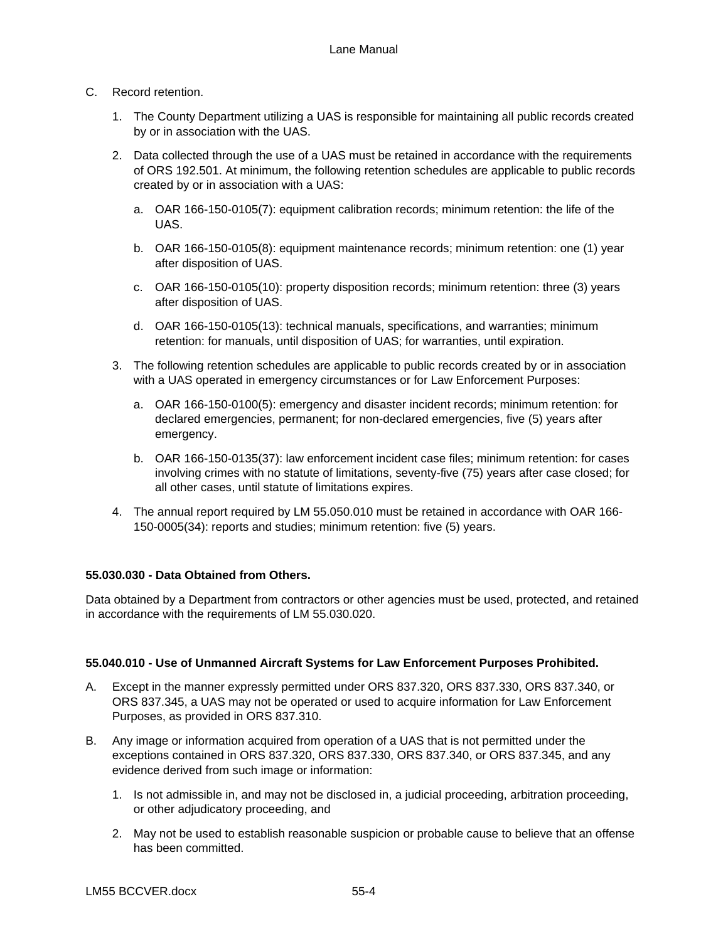## C. Record retention.

- 1. The County Department utilizing a UAS is responsible for maintaining all public records created by or in association with the UAS.
- 2. Data collected through the use of a UAS must be retained in accordance with the requirements of ORS 192.501. At minimum, the following retention schedules are applicable to public records created by or in association with a UAS:
	- a. OAR 166-150-0105(7): equipment calibration records; minimum retention: the life of the UAS.
	- b. OAR 166-150-0105(8): equipment maintenance records; minimum retention: one (1) year after disposition of UAS.
	- c. OAR 166-150-0105(10): property disposition records; minimum retention: three (3) years after disposition of UAS.
	- d. OAR 166-150-0105(13): technical manuals, specifications, and warranties; minimum retention: for manuals, until disposition of UAS; for warranties, until expiration.
- 3. The following retention schedules are applicable to public records created by or in association with a UAS operated in emergency circumstances or for Law Enforcement Purposes:
	- a. OAR 166-150-0100(5): emergency and disaster incident records; minimum retention: for declared emergencies, permanent; for non-declared emergencies, five (5) years after emergency.
	- b. OAR 166-150-0135(37): law enforcement incident case files; minimum retention: for cases involving crimes with no statute of limitations, seventy-five (75) years after case closed; for all other cases, until statute of limitations expires.
- 4. The annual report required by LM 55.050.010 must be retained in accordance with OAR 166- 150-0005(34): reports and studies; minimum retention: five (5) years.

## <span id="page-16-0"></span>**55.030.030 - Data Obtained from Others.**

Data obtained by a Department from contractors or other agencies must be used, protected, and retained in accordance with the requirements of LM 55.030.020.

## <span id="page-16-1"></span>**55.040.010 - Use of Unmanned Aircraft Systems for Law Enforcement Purposes Prohibited.**

- A. Except in the manner expressly permitted under ORS 837.320, ORS 837.330, ORS 837.340, or ORS 837.345, a UAS may not be operated or used to acquire information for Law Enforcement Purposes, as provided in ORS 837.310.
- B. Any image or information acquired from operation of a UAS that is not permitted under the exceptions contained in ORS 837.320, ORS 837.330, ORS 837.340, or ORS 837.345, and any evidence derived from such image or information:
	- 1. Is not admissible in, and may not be disclosed in, a judicial proceeding, arbitration proceeding, or other adjudicatory proceeding, and
	- 2. May not be used to establish reasonable suspicion or probable cause to believe that an offense has been committed.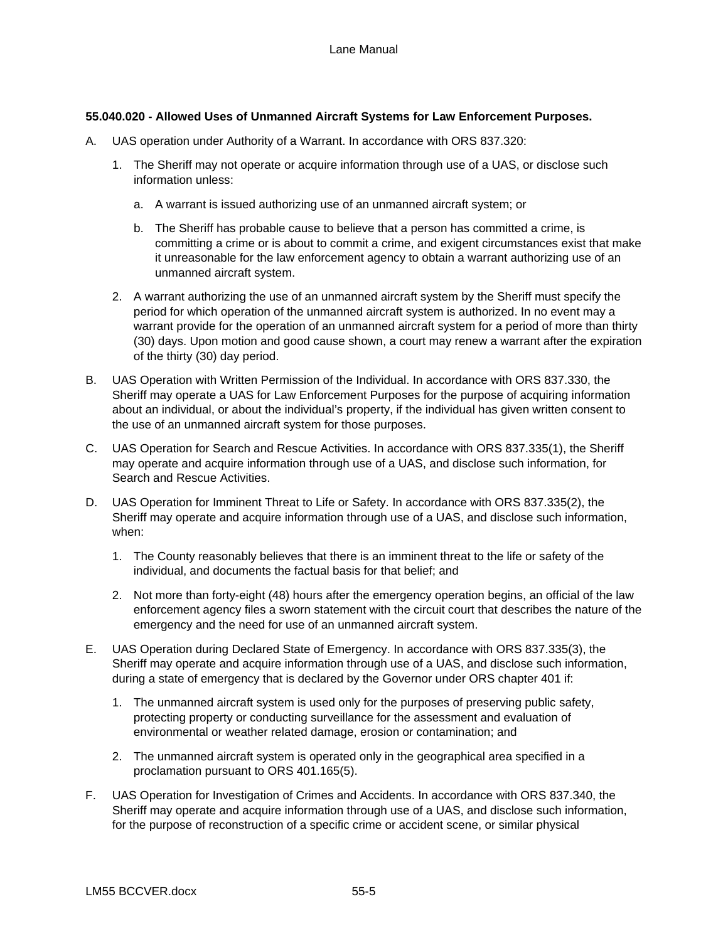## <span id="page-17-0"></span>**55.040.020 - Allowed Uses of Unmanned Aircraft Systems for Law Enforcement Purposes.**

- A. UAS operation under Authority of a Warrant. In accordance with ORS 837.320:
	- 1. The Sheriff may not operate or acquire information through use of a UAS, or disclose such information unless:
		- a. A warrant is issued authorizing use of an unmanned aircraft system; or
		- b. The Sheriff has probable cause to believe that a person has committed a crime, is committing a crime or is about to commit a crime, and exigent circumstances exist that make it unreasonable for the law enforcement agency to obtain a warrant authorizing use of an unmanned aircraft system.
	- 2. A warrant authorizing the use of an unmanned aircraft system by the Sheriff must specify the period for which operation of the unmanned aircraft system is authorized. In no event may a warrant provide for the operation of an unmanned aircraft system for a period of more than thirty (30) days. Upon motion and good cause shown, a court may renew a warrant after the expiration of the thirty (30) day period.
- B. UAS Operation with Written Permission of the Individual. In accordance with ORS 837.330, the Sheriff may operate a UAS for Law Enforcement Purposes for the purpose of acquiring information about an individual, or about the individual's property, if the individual has given written consent to the use of an unmanned aircraft system for those purposes.
- C. UAS Operation for Search and Rescue Activities. In accordance with ORS 837.335(1), the Sheriff may operate and acquire information through use of a UAS, and disclose such information, for Search and Rescue Activities.
- D. UAS Operation for Imminent Threat to Life or Safety. In accordance with ORS 837.335(2), the Sheriff may operate and acquire information through use of a UAS, and disclose such information, when:
	- 1. The County reasonably believes that there is an imminent threat to the life or safety of the individual, and documents the factual basis for that belief; and
	- 2. Not more than forty-eight (48) hours after the emergency operation begins, an official of the law enforcement agency files a sworn statement with the circuit court that describes the nature of the emergency and the need for use of an unmanned aircraft system.
- E. UAS Operation during Declared State of Emergency. In accordance with ORS 837.335(3), the Sheriff may operate and acquire information through use of a UAS, and disclose such information, during a state of emergency that is declared by the Governor under ORS chapter 401 if:
	- 1. The unmanned aircraft system is used only for the purposes of preserving public safety, protecting property or conducting surveillance for the assessment and evaluation of environmental or weather related damage, erosion or contamination; and
	- 2. The unmanned aircraft system is operated only in the geographical area specified in a proclamation pursuant to ORS 401.165(5).
- F. UAS Operation for Investigation of Crimes and Accidents. In accordance with ORS 837.340, the Sheriff may operate and acquire information through use of a UAS, and disclose such information, for the purpose of reconstruction of a specific crime or accident scene, or similar physical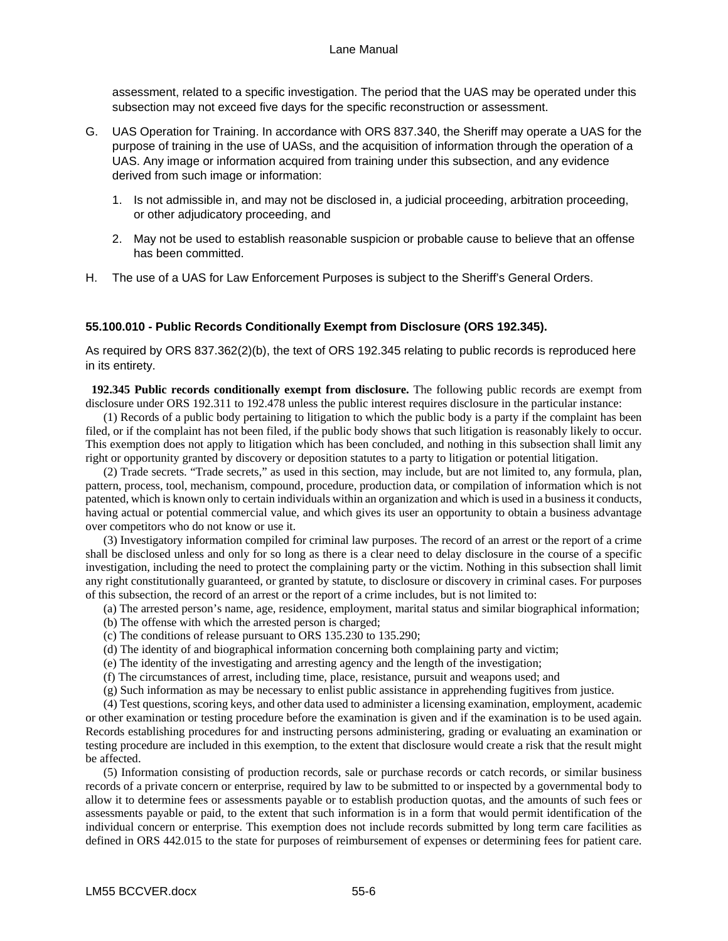assessment, related to a specific investigation. The period that the UAS may be operated under this subsection may not exceed five days for the specific reconstruction or assessment.

- G. UAS Operation for Training. In accordance with ORS 837.340, the Sheriff may operate a UAS for the purpose of training in the use of UASs, and the acquisition of information through the operation of a UAS. Any image or information acquired from training under this subsection, and any evidence derived from such image or information:
	- 1. Is not admissible in, and may not be disclosed in, a judicial proceeding, arbitration proceeding, or other adjudicatory proceeding, and
	- 2. May not be used to establish reasonable suspicion or probable cause to believe that an offense has been committed.
- H. The use of a UAS for Law Enforcement Purposes is subject to the Sheriff's General Orders.

## <span id="page-18-0"></span>**55.100.010 - Public Records Conditionally Exempt from Disclosure (ORS 192.345).**

As required by ORS 837.362(2)(b), the text of ORS 192.345 relating to public records is reproduced here in its entirety.

 **192.345 Public records conditionally exempt from disclosure.** The following public records are exempt from disclosure under ORS 192.311 to 192.478 unless the public interest requires disclosure in the particular instance:

 (1) Records of a public body pertaining to litigation to which the public body is a party if the complaint has been filed, or if the complaint has not been filed, if the public body shows that such litigation is reasonably likely to occur. This exemption does not apply to litigation which has been concluded, and nothing in this subsection shall limit any right or opportunity granted by discovery or deposition statutes to a party to litigation or potential litigation.

 (2) Trade secrets. "Trade secrets," as used in this section, may include, but are not limited to, any formula, plan, pattern, process, tool, mechanism, compound, procedure, production data, or compilation of information which is not patented, which is known only to certain individuals within an organization and which is used in a business it conducts, having actual or potential commercial value, and which gives its user an opportunity to obtain a business advantage over competitors who do not know or use it.

 (3) Investigatory information compiled for criminal law purposes. The record of an arrest or the report of a crime shall be disclosed unless and only for so long as there is a clear need to delay disclosure in the course of a specific investigation, including the need to protect the complaining party or the victim. Nothing in this subsection shall limit any right constitutionally guaranteed, or granted by statute, to disclosure or discovery in criminal cases. For purposes of this subsection, the record of an arrest or the report of a crime includes, but is not limited to:

- (a) The arrested person's name, age, residence, employment, marital status and similar biographical information;
- (b) The offense with which the arrested person is charged;
- (c) The conditions of release pursuant to ORS 135.230 to 135.290;
- (d) The identity of and biographical information concerning both complaining party and victim;
- (e) The identity of the investigating and arresting agency and the length of the investigation;
- (f) The circumstances of arrest, including time, place, resistance, pursuit and weapons used; and
- (g) Such information as may be necessary to enlist public assistance in apprehending fugitives from justice.

 (4) Test questions, scoring keys, and other data used to administer a licensing examination, employment, academic or other examination or testing procedure before the examination is given and if the examination is to be used again. Records establishing procedures for and instructing persons administering, grading or evaluating an examination or testing procedure are included in this exemption, to the extent that disclosure would create a risk that the result might be affected.

 (5) Information consisting of production records, sale or purchase records or catch records, or similar business records of a private concern or enterprise, required by law to be submitted to or inspected by a governmental body to allow it to determine fees or assessments payable or to establish production quotas, and the amounts of such fees or assessments payable or paid, to the extent that such information is in a form that would permit identification of the individual concern or enterprise. This exemption does not include records submitted by long term care facilities as defined in ORS 442.015 to the state for purposes of reimbursement of expenses or determining fees for patient care.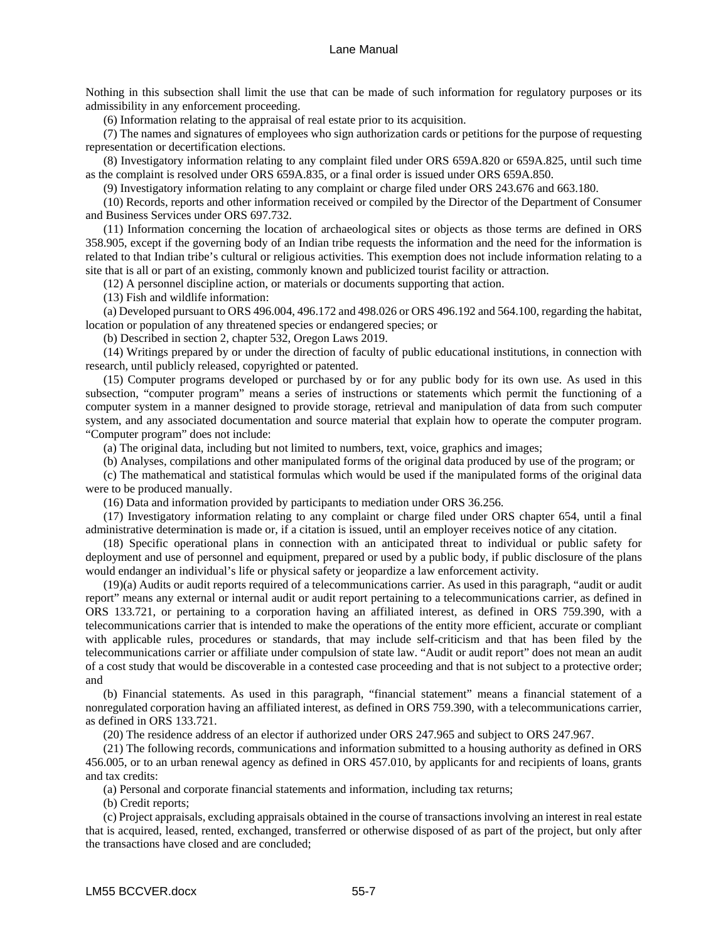Nothing in this subsection shall limit the use that can be made of such information for regulatory purposes or its admissibility in any enforcement proceeding.

(6) Information relating to the appraisal of real estate prior to its acquisition.

 (7) The names and signatures of employees who sign authorization cards or petitions for the purpose of requesting representation or decertification elections.

 (8) Investigatory information relating to any complaint filed under ORS 659A.820 or 659A.825, until such time as the complaint is resolved under ORS 659A.835, or a final order is issued under ORS 659A.850.

(9) Investigatory information relating to any complaint or charge filed under ORS 243.676 and 663.180.

 (10) Records, reports and other information received or compiled by the Director of the Department of Consumer and Business Services under ORS 697.732.

 (11) Information concerning the location of archaeological sites or objects as those terms are defined in ORS 358.905, except if the governing body of an Indian tribe requests the information and the need for the information is related to that Indian tribe's cultural or religious activities. This exemption does not include information relating to a site that is all or part of an existing, commonly known and publicized tourist facility or attraction.

(12) A personnel discipline action, or materials or documents supporting that action.

(13) Fish and wildlife information:

 (a) Developed pursuant to ORS 496.004, 496.172 and 498.026 or ORS 496.192 and 564.100, regarding the habitat, location or population of any threatened species or endangered species; or

(b) Described in section 2, chapter 532, Oregon Laws 2019.

 (14) Writings prepared by or under the direction of faculty of public educational institutions, in connection with research, until publicly released, copyrighted or patented.

 (15) Computer programs developed or purchased by or for any public body for its own use. As used in this subsection, "computer program" means a series of instructions or statements which permit the functioning of a computer system in a manner designed to provide storage, retrieval and manipulation of data from such computer system, and any associated documentation and source material that explain how to operate the computer program. "Computer program" does not include:

(a) The original data, including but not limited to numbers, text, voice, graphics and images;

(b) Analyses, compilations and other manipulated forms of the original data produced by use of the program; or

 (c) The mathematical and statistical formulas which would be used if the manipulated forms of the original data were to be produced manually.

(16) Data and information provided by participants to mediation under ORS 36.256.

 (17) Investigatory information relating to any complaint or charge filed under ORS chapter 654, until a final administrative determination is made or, if a citation is issued, until an employer receives notice of any citation.

 (18) Specific operational plans in connection with an anticipated threat to individual or public safety for deployment and use of personnel and equipment, prepared or used by a public body, if public disclosure of the plans would endanger an individual's life or physical safety or jeopardize a law enforcement activity.

 (19)(a) Audits or audit reports required of a telecommunications carrier. As used in this paragraph, "audit or audit report" means any external or internal audit or audit report pertaining to a telecommunications carrier, as defined in ORS 133.721, or pertaining to a corporation having an affiliated interest, as defined in ORS 759.390, with a telecommunications carrier that is intended to make the operations of the entity more efficient, accurate or compliant with applicable rules, procedures or standards, that may include self-criticism and that has been filed by the telecommunications carrier or affiliate under compulsion of state law. "Audit or audit report" does not mean an audit of a cost study that would be discoverable in a contested case proceeding and that is not subject to a protective order; and

 (b) Financial statements. As used in this paragraph, "financial statement" means a financial statement of a nonregulated corporation having an affiliated interest, as defined in ORS 759.390, with a telecommunications carrier, as defined in ORS 133.721.

(20) The residence address of an elector if authorized under ORS 247.965 and subject to ORS 247.967.

 (21) The following records, communications and information submitted to a housing authority as defined in ORS 456.005, or to an urban renewal agency as defined in ORS 457.010, by applicants for and recipients of loans, grants and tax credits:

(a) Personal and corporate financial statements and information, including tax returns;

(b) Credit reports;

 (c) Project appraisals, excluding appraisals obtained in the course of transactions involving an interest in real estate that is acquired, leased, rented, exchanged, transferred or otherwise disposed of as part of the project, but only after the transactions have closed and are concluded;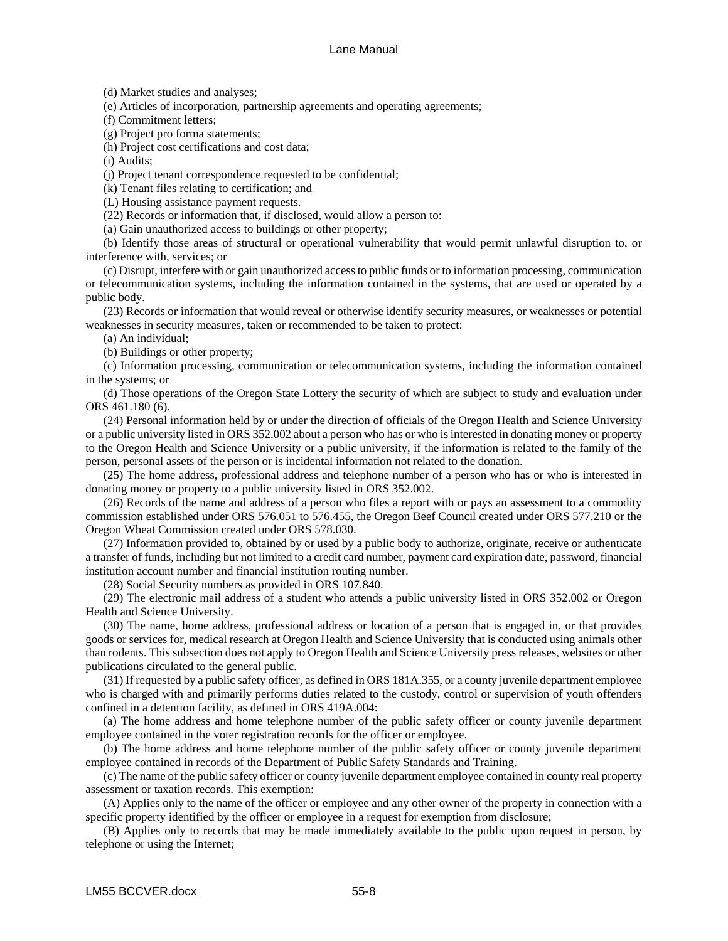(d) Market studies and analyses;

(e) Articles of incorporation, partnership agreements and operating agreements;

(f) Commitment letters;

(g) Project pro forma statements;

(h) Project cost certifications and cost data;

(i) Audits;

(j) Project tenant correspondence requested to be confidential;

(k) Tenant files relating to certification; and

(L) Housing assistance payment requests.

(22) Records or information that, if disclosed, would allow a person to:

(a) Gain unauthorized access to buildings or other property;

 (b) Identify those areas of structural or operational vulnerability that would permit unlawful disruption to, or interference with, services; or

 (c) Disrupt, interfere with or gain unauthorized access to public funds or to information processing, communication or telecommunication systems, including the information contained in the systems, that are used or operated by a public body.

 (23) Records or information that would reveal or otherwise identify security measures, or weaknesses or potential weaknesses in security measures, taken or recommended to be taken to protect:

(a) An individual;

(b) Buildings or other property;

 (c) Information processing, communication or telecommunication systems, including the information contained in the systems; or

 (d) Those operations of the Oregon State Lottery the security of which are subject to study and evaluation under ORS 461.180 (6).

 (24) Personal information held by or under the direction of officials of the Oregon Health and Science University or a public university listed in ORS 352.002 about a person who has or who is interested in donating money or property to the Oregon Health and Science University or a public university, if the information is related to the family of the person, personal assets of the person or is incidental information not related to the donation.

 (25) The home address, professional address and telephone number of a person who has or who is interested in donating money or property to a public university listed in ORS 352.002.

 (26) Records of the name and address of a person who files a report with or pays an assessment to a commodity commission established under ORS 576.051 to 576.455, the Oregon Beef Council created under ORS 577.210 or the Oregon Wheat Commission created under ORS 578.030.

 (27) Information provided to, obtained by or used by a public body to authorize, originate, receive or authenticate a transfer of funds, including but not limited to a credit card number, payment card expiration date, password, financial institution account number and financial institution routing number.

(28) Social Security numbers as provided in ORS 107.840.

 (29) The electronic mail address of a student who attends a public university listed in ORS 352.002 or Oregon Health and Science University.

 (30) The name, home address, professional address or location of a person that is engaged in, or that provides goods or services for, medical research at Oregon Health and Science University that is conducted using animals other than rodents. This subsection does not apply to Oregon Health and Science University press releases, websites or other publications circulated to the general public.

 (31) If requested by a public safety officer, as defined in ORS 181A.355, or a county juvenile department employee who is charged with and primarily performs duties related to the custody, control or supervision of youth offenders confined in a detention facility, as defined in ORS 419A.004:

 (a) The home address and home telephone number of the public safety officer or county juvenile department employee contained in the voter registration records for the officer or employee.

 (b) The home address and home telephone number of the public safety officer or county juvenile department employee contained in records of the Department of Public Safety Standards and Training.

 (c) The name of the public safety officer or county juvenile department employee contained in county real property assessment or taxation records. This exemption:

 (A) Applies only to the name of the officer or employee and any other owner of the property in connection with a specific property identified by the officer or employee in a request for exemption from disclosure;

 (B) Applies only to records that may be made immediately available to the public upon request in person, by telephone or using the Internet;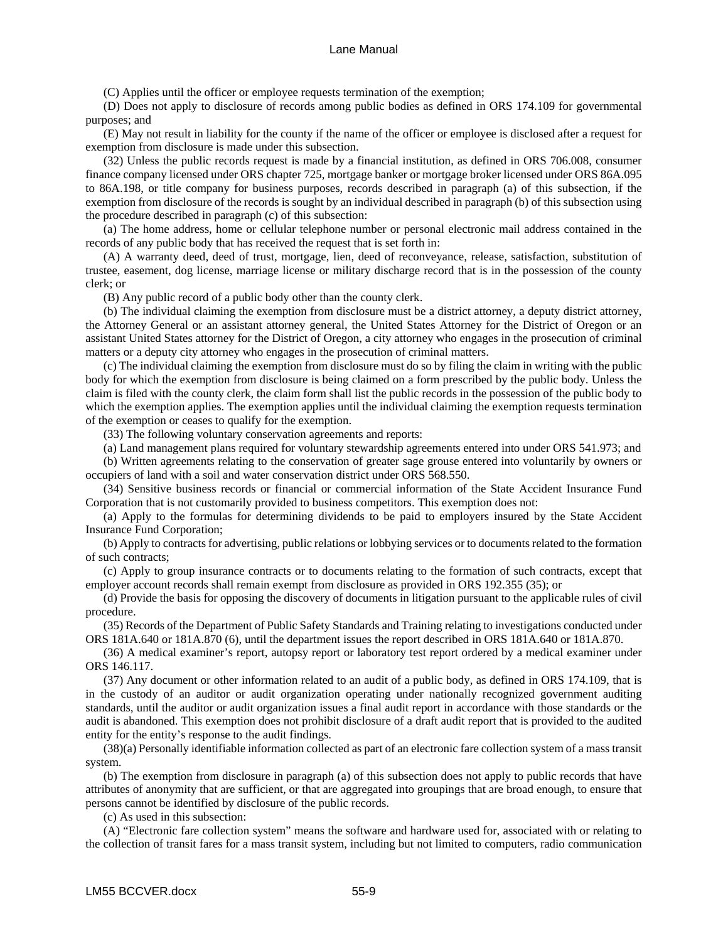(C) Applies until the officer or employee requests termination of the exemption;

 (D) Does not apply to disclosure of records among public bodies as defined in ORS 174.109 for governmental purposes; and

 (E) May not result in liability for the county if the name of the officer or employee is disclosed after a request for exemption from disclosure is made under this subsection.

 (32) Unless the public records request is made by a financial institution, as defined in ORS 706.008, consumer finance company licensed under ORS chapter 725, mortgage banker or mortgage broker licensed under ORS 86A.095 to 86A.198, or title company for business purposes, records described in paragraph (a) of this subsection, if the exemption from disclosure of the records is sought by an individual described in paragraph (b) of this subsection using the procedure described in paragraph (c) of this subsection:

 (a) The home address, home or cellular telephone number or personal electronic mail address contained in the records of any public body that has received the request that is set forth in:

 (A) A warranty deed, deed of trust, mortgage, lien, deed of reconveyance, release, satisfaction, substitution of trustee, easement, dog license, marriage license or military discharge record that is in the possession of the county clerk; or

(B) Any public record of a public body other than the county clerk.

 (b) The individual claiming the exemption from disclosure must be a district attorney, a deputy district attorney, the Attorney General or an assistant attorney general, the United States Attorney for the District of Oregon or an assistant United States attorney for the District of Oregon, a city attorney who engages in the prosecution of criminal matters or a deputy city attorney who engages in the prosecution of criminal matters.

 (c) The individual claiming the exemption from disclosure must do so by filing the claim in writing with the public body for which the exemption from disclosure is being claimed on a form prescribed by the public body. Unless the claim is filed with the county clerk, the claim form shall list the public records in the possession of the public body to which the exemption applies. The exemption applies until the individual claiming the exemption requests termination of the exemption or ceases to qualify for the exemption.

(33) The following voluntary conservation agreements and reports:

(a) Land management plans required for voluntary stewardship agreements entered into under ORS 541.973; and

 (b) Written agreements relating to the conservation of greater sage grouse entered into voluntarily by owners or occupiers of land with a soil and water conservation district under ORS 568.550.

 (34) Sensitive business records or financial or commercial information of the State Accident Insurance Fund Corporation that is not customarily provided to business competitors. This exemption does not:

 (a) Apply to the formulas for determining dividends to be paid to employers insured by the State Accident Insurance Fund Corporation;

 (b) Apply to contracts for advertising, public relations or lobbying services or to documents related to the formation of such contracts;

 (c) Apply to group insurance contracts or to documents relating to the formation of such contracts, except that employer account records shall remain exempt from disclosure as provided in ORS 192.355 (35); or

 (d) Provide the basis for opposing the discovery of documents in litigation pursuant to the applicable rules of civil procedure.

 (35) Records of the Department of Public Safety Standards and Training relating to investigations conducted under ORS 181A.640 or 181A.870 (6), until the department issues the report described in ORS 181A.640 or 181A.870.

 (36) A medical examiner's report, autopsy report or laboratory test report ordered by a medical examiner under ORS 146.117.

 (37) Any document or other information related to an audit of a public body, as defined in ORS 174.109, that is in the custody of an auditor or audit organization operating under nationally recognized government auditing standards, until the auditor or audit organization issues a final audit report in accordance with those standards or the audit is abandoned. This exemption does not prohibit disclosure of a draft audit report that is provided to the audited entity for the entity's response to the audit findings.

 (38)(a) Personally identifiable information collected as part of an electronic fare collection system of a mass transit system.

 (b) The exemption from disclosure in paragraph (a) of this subsection does not apply to public records that have attributes of anonymity that are sufficient, or that are aggregated into groupings that are broad enough, to ensure that persons cannot be identified by disclosure of the public records.

(c) As used in this subsection:

 (A) "Electronic fare collection system" means the software and hardware used for, associated with or relating to the collection of transit fares for a mass transit system, including but not limited to computers, radio communication